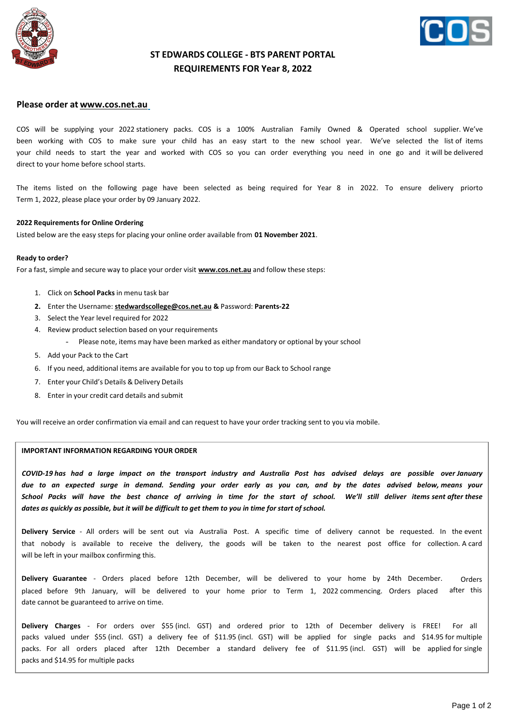



## **ST EDWARDS COLLEGE - BTS PARENT PORTAL REQUIREMENTS FOR Year 8, 2022**

### **Please order at [www.cos.net.au](http://www.cos.net.au/)**

COS will be supplying your 2022 stationery packs. COS is a 100% Australian Family Owned & Operated school supplier. We've been working with COS to make sure your child has an easy start to the new school year. We've selected the list of items your child needs to start the year and worked with COS so you can order everything you need in one go and it will be delivered direct to your home before school starts.

The items listed on the following page have been selected as being required for Year 8 in 2022. To ensure delivery priorto Term 1, 2022, please place your order by 09 January 2022.

#### **2022 Requirements for Online Ordering**

Listed below are the easy steps for placing your online order available from **01 November 2021**.

#### **Ready to order?**

For a fast, simple and secure way to place your order visit **[www.cos.net.au](http://www.cos.net.au/)** and follow these steps:

- 1. Click on **School Packs** in menu task bar
- **2.** Enter the Username: **[stedwardscollege@cos.net.au](mailto:stedwardscollege@cos.net.au) &** Password: **Parents-22**
- 3. Select the Year level required for 2022
- 4. Review product selection based on your requirements
	- Please note, items may have been marked as either mandatory or optional by your school
- 5. Add your Pack to the Cart
- 6. If you need, additional items are available for you to top up from our Back to School range
- 7. Enter your Child's Details & Delivery Details
- 8. Enter in your credit card details and submit

You will receive an order confirmation via email and can request to have your order tracking sent to you via mobile.

#### **IMPORTANT INFORMATION REGARDING YOUR ORDER**

*COVID-19 has had a large impact on the transport industry and Australia Post has advised delays are possible over January due to an expected surge in demand. Sending your order early as you can, and by the dates advised below, means your School Packs will have the best chance of arriving in time for the start of school. We'll still deliver items sent after these* dates as quickly as possible, but it will be difficult to get them to you in time for start of school.

**Delivery Service** - All orders will be sent out via Australia Post. A specific time of delivery cannot be requested. In the event that nobody is available to receive the delivery, the goods will be taken to the nearest post office for collection. A card will be left in your mailbox confirming this.

**Delivery Guarantee** - Orders placed before 12th December, will be delivered to your home by 24th December. placed before 9th January, will be delivered to your home prior to Term 1, 2022 commencing. Orders placed date cannot be guaranteed to arrive on time. Orders after this

**Delivery Charges** - For orders over \$55 (incl. GST) and ordered prior to 12th of December delivery is FREE! For all packs valued under \$55 (incl. GST) a delivery fee of \$11.95 (incl. GST) will be applied for single packs and \$14.95 for multiple packs. For all orders placed after 12th December a standard delivery fee of \$11.95 (incl. GST) will be applied for single packs and \$14.95 for multiple packs